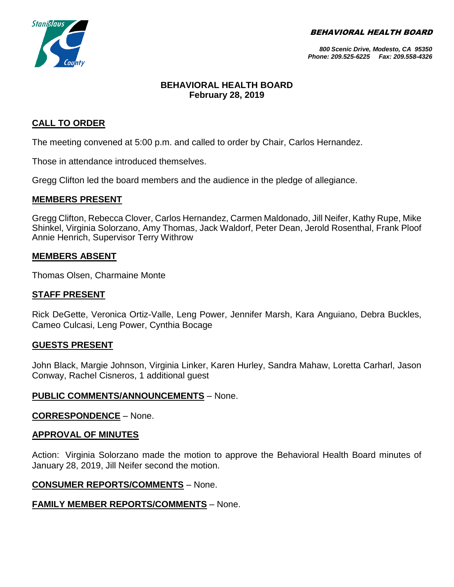BEHAVIORAL HEALTH BOARD



*800 Scenic Drive, Modesto, CA 95350 Phone: 209.525-6225 Fax: 209.558-4326*

## **BEHAVIORAL HEALTH BOARD February 28, 2019**

## **CALL TO ORDER**

The meeting convened at 5:00 p.m. and called to order by Chair, Carlos Hernandez.

Those in attendance introduced themselves.

Gregg Clifton led the board members and the audience in the pledge of allegiance.

## **MEMBERS PRESENT**

Gregg Clifton, Rebecca Clover, Carlos Hernandez, Carmen Maldonado, Jill Neifer, Kathy Rupe, Mike Shinkel, Virginia Solorzano, Amy Thomas, Jack Waldorf, Peter Dean, Jerold Rosenthal, Frank Ploof Annie Henrich, Supervisor Terry Withrow

## **MEMBERS ABSENT**

Thomas Olsen, Charmaine Monte

### **STAFF PRESENT**

Rick DeGette, Veronica Ortiz-Valle, Leng Power, Jennifer Marsh, Kara Anguiano, Debra Buckles, Cameo Culcasi, Leng Power, Cynthia Bocage

### **GUESTS PRESENT**

John Black, Margie Johnson, Virginia Linker, Karen Hurley, Sandra Mahaw, Loretta Carharl, Jason Conway, Rachel Cisneros, 1 additional guest

### **PUBLIC COMMENTS/ANNOUNCEMENTS** – None.

**CORRESPONDENCE** – None.

### **APPROVAL OF MINUTES**

Action: Virginia Solorzano made the motion to approve the Behavioral Health Board minutes of January 28, 2019, Jill Neifer second the motion.

### **CONSUMER REPORTS/COMMENTS** – None.

## **FAMILY MEMBER REPORTS/COMMENTS** – None.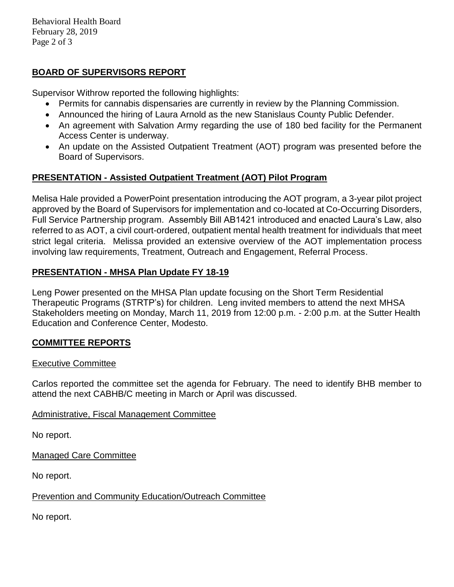Behavioral Health Board February 28, 2019 Page 2 of 3

# **BOARD OF SUPERVISORS REPORT**

Supervisor Withrow reported the following highlights:

- Permits for cannabis dispensaries are currently in review by the Planning Commission.
- Announced the hiring of Laura Arnold as the new Stanislaus County Public Defender.
- An agreement with Salvation Army regarding the use of 180 bed facility for the Permanent Access Center is underway.
- An update on the Assisted Outpatient Treatment (AOT) program was presented before the Board of Supervisors.

## **PRESENTATION - Assisted Outpatient Treatment (AOT) Pilot Program**

Melisa Hale provided a PowerPoint presentation introducing the AOT program, a 3-year pilot project approved by the Board of Supervisors for implementation and co-located at Co-Occurring Disorders, Full Service Partnership program. Assembly Bill AB1421 introduced and enacted Laura's Law, also referred to as AOT, a civil court-ordered, outpatient mental health treatment for individuals that meet strict legal criteria. Melissa provided an extensive overview of the AOT implementation process involving law requirements, Treatment, Outreach and Engagement, Referral Process.

## **PRESENTATION - MHSA Plan Update FY 18-19**

Leng Power presented on the MHSA Plan update focusing on the Short Term Residential Therapeutic Programs (STRTP's) for children. Leng invited members to attend the next MHSA Stakeholders meeting on Monday, March 11, 2019 from 12:00 p.m. - 2:00 p.m. at the Sutter Health Education and Conference Center, Modesto.

## **COMMITTEE REPORTS**

### Executive Committee

Carlos reported the committee set the agenda for February. The need to identify BHB member to attend the next CABHB/C meeting in March or April was discussed.

## Administrative, Fiscal Management Committee

No report.

Managed Care Committee

No report.

## Prevention and Community Education/Outreach Committee

No report.